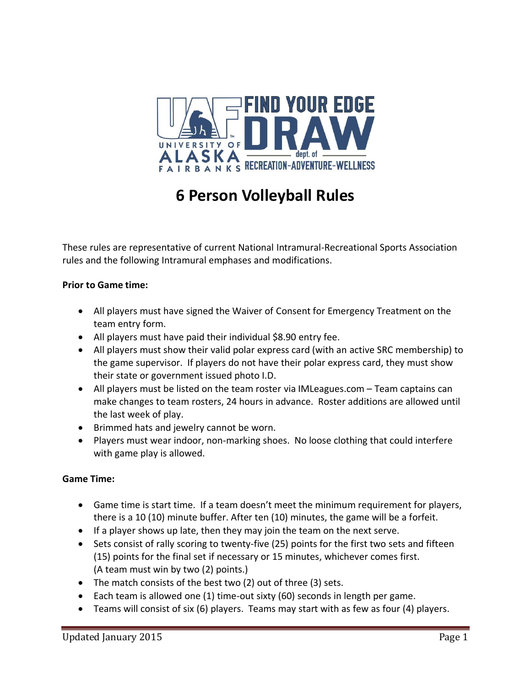

# **6 Person Volleyball Rules**

These rules are representative of current National Intramural-Recreational Sports Association rules and the following Intramural emphases and modifications.

# **Prior to Game time:**

- All players must have signed the Waiver of Consent for Emergency Treatment on the team entry form.
- All players must have paid their individual \$8.90 entry fee.
- All players must show their valid polar express card (with an active SRC membership) to the game supervisor. If players do not have their polar express card, they must show their state or government issued photo I.D.
- All players must be listed on the team roster via IMLeagues.com Team captains can make changes to team rosters, 24 hours in advance. Roster additions are allowed until the last week of play.
- Brimmed hats and jewelry cannot be worn.
- Players must wear indoor, non-marking shoes. No loose clothing that could interfere with game play is allowed.

# **Game Time:**

- Game time is start time. If a team doesn't meet the minimum requirement for players, there is a 10 (10) minute buffer. After ten (10) minutes, the game will be a forfeit.
- If a player shows up late, then they may join the team on the next serve.
- Sets consist of rally scoring to twenty-five (25) points for the first two sets and fifteen (15) points for the final set if necessary or 15 minutes, whichever comes first. (A team must win by two (2) points.)
- The match consists of the best two (2) out of three (3) sets.
- Each team is allowed one (1) time-out sixty (60) seconds in length per game.
- Teams will consist of six (6) players. Teams may start with as few as four (4) players.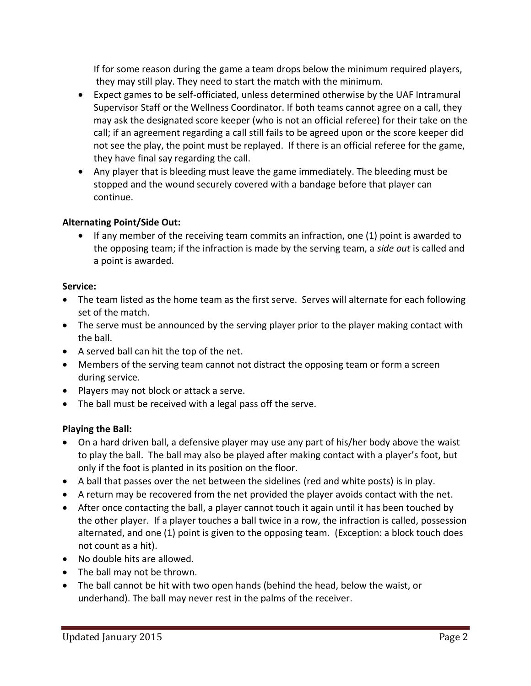If for some reason during the game a team drops below the minimum required players, they may still play. They need to start the match with the minimum.

- Expect games to be self-officiated, unless determined otherwise by the UAF Intramural Supervisor Staff or the Wellness Coordinator. If both teams cannot agree on a call, they may ask the designated score keeper (who is not an official referee) for their take on the call; if an agreement regarding a call still fails to be agreed upon or the score keeper did not see the play, the point must be replayed. If there is an official referee for the game, they have final say regarding the call.
- Any player that is bleeding must leave the game immediately. The bleeding must be stopped and the wound securely covered with a bandage before that player can continue.

# **Alternating Point/Side Out:**

• If any member of the receiving team commits an infraction, one (1) point is awarded to the opposing team; if the infraction is made by the serving team, a *side out* is called and a point is awarded.

#### **Service:**

- The team listed as the home team as the first serve. Serves will alternate for each following set of the match.
- The serve must be announced by the serving player prior to the player making contact with the ball.
- A served ball can hit the top of the net.
- Members of the serving team cannot not distract the opposing team or form a screen during service.
- Players may not block or attack a serve.
- The ball must be received with a legal pass off the serve*.*

# **Playing the Ball:**

- On a hard driven ball, a defensive player may use any part of his/her body above the waist to play the ball. The ball may also be played after making contact with a player's foot, but only if the foot is planted in its position on the floor.
- A ball that passes over the net between the sidelines (red and white posts) is in play.
- A return may be recovered from the net provided the player avoids contact with the net.
- After once contacting the ball, a player cannot touch it again until it has been touched by the other player. If a player touches a ball twice in a row, the infraction is called, possession alternated, and one (1) point is given to the opposing team. (Exception: a block touch does not count as a hit).
- No double hits are allowed.
- The ball may not be thrown.
- The ball cannot be hit with two open hands (behind the head, below the waist, or underhand). The ball may never rest in the palms of the receiver.